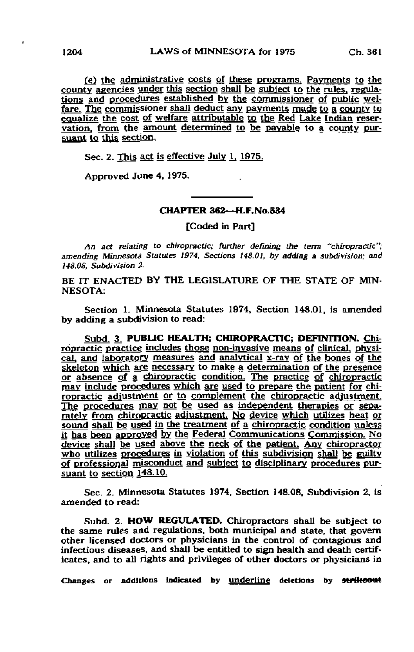(e) the administrative costs of these programs. Payments to the county agencies under this section shall be subject to the rules, regulations and procedures established by the commissioner of public welfare. The commissioner shall deduct any payments made to a county to equalize the cost of welfare attributable to the Red Lake Indian reservation, from the amount determined to be payable to a county pursuant to this section.

Sec. 2. This act is effective July  $1, 1975$ .

Approved June 4, 1975.

## CHAPTER 362—H.F.No.534

[Coded in Part]

An act relating to chiropractic; further defining the term "chiropractic"; amending Minnesota Statutes 1974, Sections 148.01, by adding a subdivision; and 148.08. Subdivision 2.

BE IT ENACTED BY THE LEGISLATURE OF THE STATE OF MIN-NESOTA:

Section 1. Minnesota Statutes 1974, Section 148.01, is amended by adding a subdivision to read:

Subd. 3, PUBLIC HEALTH; CHIROPRACTIC; DEFINITION. Chiropractic practice includes those non-invasive means of clinical, physical. and laboratory, measures and analytical x-ray of the bones of the skeleton which afe necessary to make a determination of the presence or absence of a chiropractic condition. The practice of chiropractic may include procedures which are used to prepare the patient for chiropractic adjustment or to complement the chiropractic adjustment. The procedures may not be used as independent therapies or separately from chiropractic adjustment. No device which utilizes heat or sound shall be used in the treatment of a chiropractic condition unless it has been approved by the Federal Communications Commission. No device shall be used above the neck of the patient. Any chiropractor who utilizes procedures in violation of this subdivision shall be guilty of professional misconduct and subject to disciplinary procedures pursuant to section 148.10.

Sec. 2. Minnesota Statutes 1974, Section 148.08. Subdivision 2, is amended to read:

Subd. 2. HOW REGULATED. Chiropractors shall be subject to the same rules and regulations, both municipal and state, that govern other licensed doctors or physicians in the control of contagious and infectious diseases, and shall be entitled to sign health and death certificates, and to all rights and privileges of other doctors or physicians in

Changes or additions indicated by underline deletions by strikeout

 $\cdot$